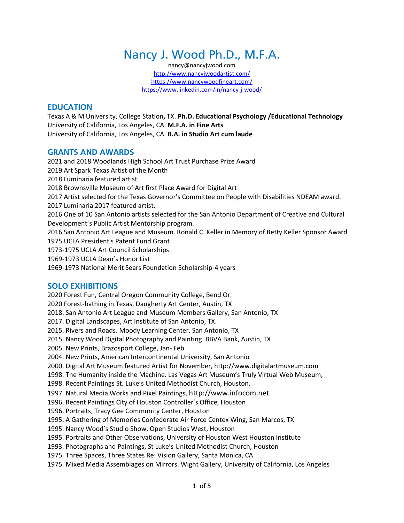# Nancy J. Wood Ph.D., M.F.A.

nancy@nancyjwood.com <http://www.nancyjwoodartist.com/> <https://www.nancywoodfineart.com/> <https://www.linkedin.com/in/nancy-j-wood/>

# **EDUCATION**

Texas A & M University, College Station**,** TX. **Ph.D. Educational Psychology /Educational Technology** [University of California, Los Angeles,](http://www.art.ucla.edu/) CA. **M.F.A. in Fine Arts** University of California, Los Angeles, CA. **B.A. in Studio Art cum laude**

# **GRANTS AND AWARDS**

2021 and 2018 Woodlands High School Art Trust Purchase Prize Award 2019 Art Spark Texas Artist of the Month 2018 Luminaria featured artist 2018 Brownsville Museum of Art first Place Award for Digital Art 2017 Artist selected for the Texas Governor's Committee on People with Disabilities NDEAM award. 2017 Luminaria 2017 featured artist. 2016 One of 10 San Antonio artists selected for the San Antonio Department of Creative and Cultural Development's Public Artist Mentorship program. 2016 San Antonio Art League and Museum. Ronald C. Keller in Memory of Betty Keller Sponsor Award 1975 UCLA President's Patent Fund Grant 1973-1975 UCLA Art Council Scholarships 1969-1973 UCLA Dean's Honor List 1969-1973 National Merit Sears Foundation Scholarship-4 years

# **SOLO EXHIBITIONS**

2020 Forest Fun, Central Oregon Community College, Bend Or. 2020 Forest-bathing in Texas, Daugherty Art Center, Austin, TX 2018. San Antonio Art League and Museum Members Gallery, San Antonio, TX 2017. Digital Landscapes, Art Institute of San Antonio, TX. 2015. Rivers and Roads. Moody Learning Center, San Antonio, TX 2015. Nancy Wood Digital Photography and Painting. BBVA Bank, Austin, TX 2005. New Prints, Brazosport College, Jan- Feb 2004. New Prints, American Intercontinental University, San Antonio 2000. Digital Art Museum featured Artist for November, [http://www.digitalartmuseum.com](http://www.digitalartmuseum.com/) 1998. The Humanity inside the Machine. Las Vegas Art Museum's Truly Virtual Web Museum, 1998. Recent Paintings St. Luke's United Methodist Church, Houston. 1997. Natural Media Works and Pixel Paintings, [http://www.infocom.net.](http://www.infocom.net/) 1996. Recent Paintings City of Houston Controller's Office, Houston 1996. Portraits, Tracy Gee Community Center, Houston 1995. A Gathering of Memories Confederate Air Force Centex Wing, San Marcos, TX 1995. Nancy Wood's Studio Show, Open Studios West, Houston 1995. Portraits and Other Observations, University of Houston West Houston Institute 1993. Photographs and Paintings, St Luke's United Methodist Church, Houston 1975. Three Spaces, Three States Re: Vision Gallery, Santa Monica, CA 1975. Mixed Media Assemblages on Mirrors. Wight Gallery, University of California, Los Angeles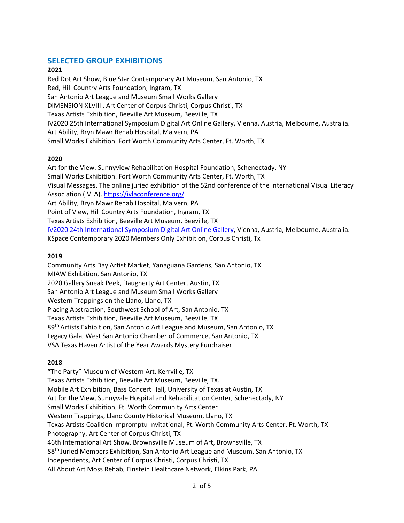# **SELECTED GROUP EXHIBITIONS**

#### **2021**

Red Dot Art Show, Blue Star Contemporary Art Museum, San Antonio, TX Red, Hill Country Arts Foundation, Ingram, TX San Antonio Art League and Museum Small Works Gallery DIMENSION XLVIII , Art Center of Corpus Christi, Corpus Christi, TX Texas Artists Exhibition, Beeville Art Museum, Beeville, TX [IV2020 25th International Symposium Digital Art Online Gallery,](https://dart2020.wixsite.com/d-art-2020/projects) Vienna, Austria, Melbourne, Australia. Art Ability, Bryn Mawr Rehab Hospital, Malvern, PA Small Works Exhibition. Fort Worth Community Arts Center, Ft. Worth, TX

#### **2020**

Art for the View. Sunnyview Rehabilitation Hospital Foundation, Schenectady, NY Small Works Exhibition. Fort Worth Community Arts Center, Ft. Worth, TX Visual Messages. The online juried exhibition of the 52nd conference of the International Visual Literacy Association (IVLA)[. https://ivlaconference.org/](https://ivlaconference.org/) Art Ability, Bryn Mawr Rehab Hospital, Malvern, PA Point of View, Hill Country Arts Foundation, Ingram, TX Texas Artists Exhibition, Beeville Art Museum, Beeville, TX [IV2020 24th International Symposium Digital Art Online Gallery,](https://dart2020.wixsite.com/d-art-2020/projects) Vienna, Austria, Melbourne, Australia. KSpace Contemporary 2020 Members Only Exhibition, Corpus Christi, Tx

#### **2019**

Community Arts Day Artist Market, Yanaguana Gardens, San Antonio, TX MIAW Exhibition, San Antonio, TX 2020 Gallery Sneak Peek, Daugherty Art Center, Austin, TX San Antonio Art League and Museum Small Works Gallery Western Trappings on the Llano, Llano, TX Placing Abstraction, Southwest School of Art, San Antonio, TX Texas Artists Exhibition, Beeville Art Museum, Beeville, TX 89<sup>th</sup> Artists Exhibition, San Antonio Art League and Museum, San Antonio, TX Legacy Gala, West San Antonio Chamber of Commerce, San Antonio, TX VSA Texas Haven Artist of the Year Awards Mystery Fundraiser

#### **2018**

"The Party" Museum of Western Art, Kerrville, TX Texas Artists Exhibition, Beeville Art Museum, Beeville, TX. Mobile Art Exhibition, Bass Concert Hall, University of Texas at Austin, TX Art for the View, Sunnyvale Hospital and Rehabilitation Center, Schenectady, NY Small Works Exhibition, Ft. Worth Community Arts Center Western Trappings, Llano County Historical Museum, Llano, TX Texas Artists Coalition Impromptu Invitational, Ft. Worth Community Arts Center, Ft. Worth, TX Photography, Art Center of Corpus Christi, TX 46th International Art Show, Brownsville Museum of Art, Brownsville, TX 88th Juried Members Exhibition, San Antonio Art League and Museum, San Antonio, TX Independents, Art Center of Corpus Christi, Corpus Christi, TX All About Art Moss Rehab, Einstein Healthcare Network, Elkins Park, PA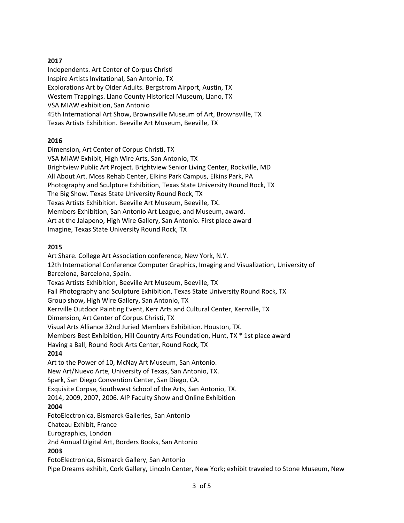#### **2017**

Independents. Art Center of Corpus Christi Inspire Artists Invitational, San Antonio, TX Explorations Art by Older Adults. Bergstrom Airport, Austin, TX Western Trappings. Llano County Historical Museum, Llano, TX VSA MIAW exhibition, San Antonio 45th International Art Show, Brownsville Museum of Art, Brownsville, TX Texas Artists Exhibition. Beeville Art Museum, Beeville, TX

#### **2016**

Dimension, Art Center of Corpus Christi, TX VSA MIAW Exhibit, High Wire Arts, San Antonio, TX Brightview Public Art Project. Brightview Senior Living Center, Rockville, MD All About Art. Moss Rehab Center, Elkins Park Campus, Elkins Park, PA Photography and Sculpture Exhibition, Texas State University Round Rock, TX The Big Show. Texas State University Round Rock, TX Texas Artists Exhibition. Beeville Art Museum, Beeville, TX. Members Exhibition, San Antonio Art League, and Museum, award. Art at the Jalapeno, High Wire Gallery, San Antonio. First place award Imagine, Texas State University Round Rock, TX

#### **2015**

Art Share. College Art Association conference, New York, N.Y. 12th International Conference Computer Graphics, Imaging and Visualization, University of Barcelona, Barcelona, Spain. Texas Artists Exhibition, Beeville Art Museum, Beeville, TX Fall Photography and Sculpture Exhibition, Texas State University Round Rock, TX Group show, High Wire Gallery, San Antonio, TX Kerrville Outdoor Painting Event, Kerr Arts and Cultural Center, Kerrville, TX Dimension, Art Center of Corpus Christi, TX Visual Arts Alliance 32nd Juried Members Exhibition. Houston, TX. Members Best Exhibition, Hill Country Arts Foundation, Hunt, TX \* 1st place award Having a Ball, Round Rock Arts Center, Round Rock, TX **2014** Art to the Power of 10, McNay Art Museum, San Antonio. New Art/Nuevo Arte, University of Texas, San Antonio, TX. Spark, San Diego Convention Center, San Diego, CA. Exquisite Corpse, Southwest School of the Arts, San Antonio, TX. 2014, 2009, 2007, 2006. AIP Faculty Show and Online Exhibition **2004** FotoElectronica, Bismarck Galleries, San Antonio Chateau Exhibit, France

Eurographics, London 2nd Annual Digital Art, Borders Books, San Antonio

# **2003**

FotoElectronica, Bismarck Gallery, San Antonio Pipe Dreams exhibit, Cork Gallery, Lincoln Center, New York; exhibit traveled to Stone Museum, New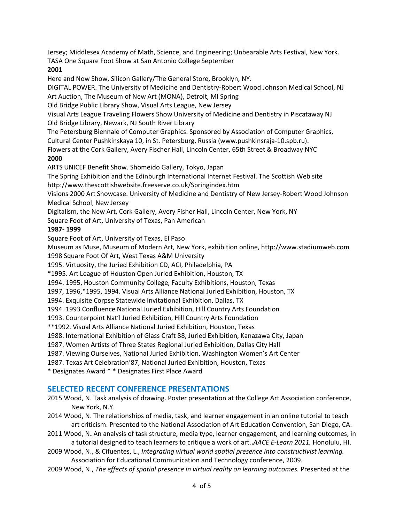Jersey; Middlesex Academy of Math, Science, and Engineering; Unbearable Arts Festival, New York. TASA One Square Foot Show at San Antonio College September

#### **2001**

Here and Now Show, Silicon Gallery/The General Store, Brooklyn, NY.

DIGITAL POWER. The University of Medicine and Dentistry-Robert Wood Johnson Medical School, NJ Art Auction, The Museum of New Art (MONA), Detroit, MI Spring

Old Bridge Public Library Show, Visual Arts League, New Jersey

Visual Arts League Traveling Flowers Show University of Medicine and Dentistry in Piscataway NJ Old Bridge Library, Newark, NJ South River Library

The Petersburg Biennale of Computer Graphics. Sponsored by Association of Computer Graphics, Cultural Center Pushkinskaya 10, in St. Petersburg, Russia (www.pushkinsraja-10.spb.ru).

Flowers at the Cork Gallery, Avery Fischer Hall, Lincoln Center, 65th Street & Broadway NYC

#### **2000**

ARTS UNICEF Benefit Show. Shomeido Gallery, Tokyo, Japan

The Spring Exhibition and the Edinburgh International Internet Festival. The Scottish Web site http://www.thescottishwebsite.freeserve.co.uk/Springindex.htm

Visions 2000 Art Showcase. University of Medicine and Dentistry of New Jersey-Robert Wood Johnson Medical School, New Jersey

Digitalism, the New Art, Cork Gallery, Avery Fisher Hall, Lincoln Center, New York, NY

Square Foot of Art, University of Texas, Pan American

#### **1987- 1999**

Square Foot of Art, University of Texas, El Paso

Museum as Muse, Museum of Modern Art, New York, exhibition online, http://www.stadiumweb.com

1998 Square Foot Of Art, West Texas A&M University

1995. Virtuosity, the Juried Exhibition CD, ACI, Philadelphia, PA

\*1995. Art League of Houston Open Juried Exhibition, Houston, TX

1994. 1995, Houston Community College, Faculty Exhibitions, Houston, Texas

1997, 1996,\*1995, 1994. Visual Arts Alliance National Juried Exhibition, Houston, TX

1994. Exquisite Corpse Statewide Invitational Exhibition, Dallas, TX

1994. 1993 Confluence National Juried Exhibition, Hill Country Arts Foundation

1993. Counterpoint Nat'l Juried Exhibition, Hill Country Arts Foundation

\*\*1992. Visual Arts Alliance National Juried Exhibition, Houston, Texas

1988. International Exhibition of Glass Craft 88, Juried Exhibition, Kanazawa City, Japan

1987. Women Artists of Three States Regional Juried Exhibition, Dallas City Hall

1987. Viewing Ourselves, National Juried Exhibition, Washington Women's Art Center

1987. Texas Art Celebration'87, National Juried Exhibition, Houston, Texas

\* Designates Award \* \* Designates First Place Award

# **SELECTED RECENT CONFERENCE PRESENTATIONS**

- 2015 Wood, N. Task analysis of drawing. Poster presentation at the College Art Association conference, New York, N.Y.
- 2014 Wood, N. The relationships of media, task, and learner engagement in an online tutorial to teach art criticism. Presented to the National Association of Art Education Convention, San Diego, CA.
- 2011 Wood, N**.** An analysis of task structure, media type, learner engagement, and learning outcomes, in a tutorial designed to teach learners to critique a work of art.**.***AACE E-Learn 2011,* Honolulu, HI.
- 2009 Wood, N., & Cifuentes, L., *Integrating virtual world spatial presence into constructivist learning.*  Association for Educational Communication and Technology conference, 2009.
- 2009 Wood, N., *The effects of spatial presence in virtual reality on learning outcomes.* Presented at the